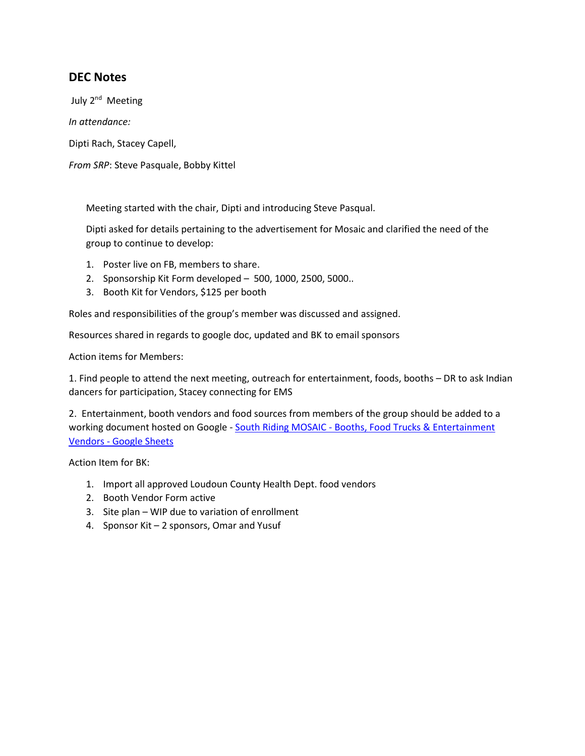## **DEC Notes**

July 2<sup>nd</sup> Meeting

*In attendance:* 

Dipti Rach, Stacey Capell,

*From SRP*: Steve Pasquale, Bobby Kittel

Meeting started with the chair, Dipti and introducing Steve Pasqual.

Dipti asked for details pertaining to the advertisement for Mosaic and clarified the need of the group to continue to develop:

- 1. Poster live on FB, members to share.
- 2. Sponsorship Kit Form developed 500, 1000, 2500, 5000..
- 3. Booth Kit for Vendors, \$125 per booth

Roles and responsibilities of the group's member was discussed and assigned.

Resources shared in regards to google doc, updated and BK to email sponsors

Action items for Members:

1. Find people to attend the next meeting, outreach for entertainment, foods, booths – DR to ask Indian dancers for participation, Stacey connecting for EMS

2. Entertainment, booth vendors and food sources from members of the group should be added to a working document hosted on Google - South Riding MOSAIC - Booths, Food Trucks & Entertainment Vendors - [Google Sheets](https://docs.google.com/spreadsheets/d/167zLTnaEIZECaY-f45_OegjYTSGa_kpJ-Kip-jmvsKw/edit?ts=60c16537#gid=0)

Action Item for BK:

- 1. Import all approved Loudoun County Health Dept. food vendors
- 2. Booth Vendor Form active
- 3. Site plan WIP due to variation of enrollment
- 4. Sponsor Kit 2 sponsors, Omar and Yusuf